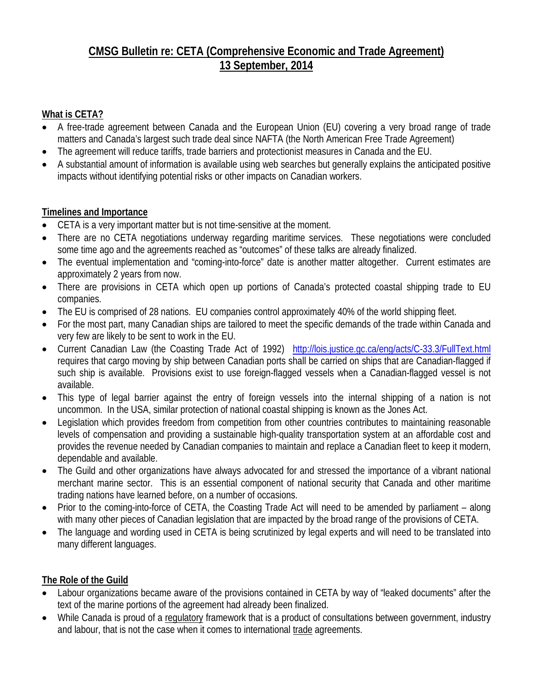#### **CMSG Bulletin re: CETA (Comprehensive Economic and Trade Agreement) 13 September, 2014**

#### **What is CETA?**

- A free-trade agreement between Canada and the European Union (EU) covering a very broad range of trade matters and Canada's largest such trade deal since NAFTA (the North American Free Trade Agreement)
- The agreement will reduce tariffs, trade barriers and protectionist measures in Canada and the EU.
- A substantial amount of information is available using web searches but generally explains the anticipated positive impacts without identifying potential risks or other impacts on Canadian workers.

#### **Timelines and Importance**

- CETA is a very important matter but is not time-sensitive at the moment.
- There are no CETA negotiations underway regarding maritime services. These negotiations were concluded some time ago and the agreements reached as "outcomes" of these talks are already finalized.
- The eventual implementation and "coming-into-force" date is another matter altogether. Current estimates are approximately 2 years from now.
- There are provisions in CETA which open up portions of Canada's protected coastal shipping trade to EU companies.
- The EU is comprised of 28 nations. EU companies control approximately 40% of the world shipping fleet.
- For the most part, many Canadian ships are tailored to meet the specific demands of the trade within Canada and very few are likely to be sent to work in the EU.
- Current Canadian Law (the Coasting Trade Act of 1992) <http://lois.justice.gc.ca/eng/acts/C-33.3/FullText.html> requires that cargo moving by ship between Canadian ports shall be carried on ships that are Canadian-flagged if such ship is available. Provisions exist to use foreign-flagged vessels when a Canadian-flagged vessel is not available.
- This type of legal barrier against the entry of foreign vessels into the internal shipping of a nation is not uncommon. In the USA, similar protection of national coastal shipping is known as the Jones Act.
- Legislation which provides freedom from competition from other countries contributes to maintaining reasonable levels of compensation and providing a sustainable high-quality transportation system at an affordable cost and provides the revenue needed by Canadian companies to maintain and replace a Canadian fleet to keep it modern, dependable and available.
- The Guild and other organizations have always advocated for and stressed the importance of a vibrant national merchant marine sector. This is an essential component of national security that Canada and other maritime trading nations have learned before, on a number of occasions.
- Prior to the coming-into-force of CETA, the Coasting Trade Act will need to be amended by parliament along with many other pieces of Canadian legislation that are impacted by the broad range of the provisions of CETA.
- The language and wording used in CETA is being scrutinized by legal experts and will need to be translated into many different languages.

#### **The Role of the Guild**

- Labour organizations became aware of the provisions contained in CETA by way of "leaked documents" after the text of the marine portions of the agreement had already been finalized.
- While Canada is proud of a regulatory framework that is a product of consultations between government, industry and labour, that is not the case when it comes to international trade agreements.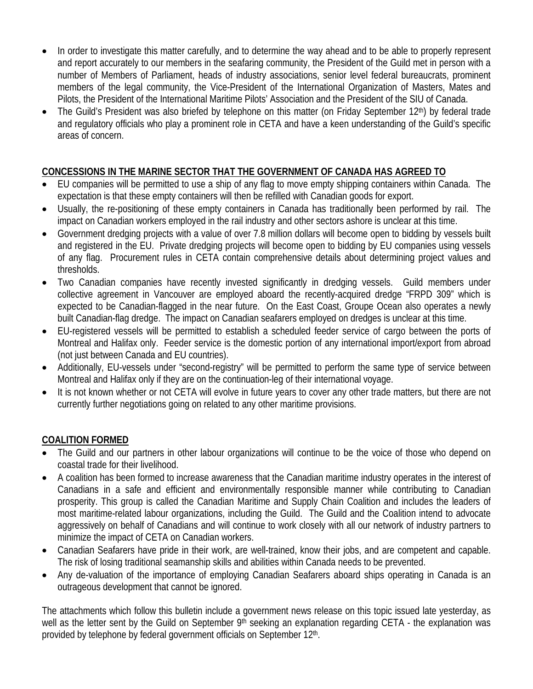- In order to investigate this matter carefully, and to determine the way ahead and to be able to properly represent and report accurately to our members in the seafaring community, the President of the Guild met in person with a number of Members of Parliament, heads of industry associations, senior level federal bureaucrats, prominent members of the legal community, the Vice-President of the International Organization of Masters, Mates and Pilots, the President of the International Maritime Pilots' Association and the President of the SIU of Canada.
- The Guild's President was also briefed by telephone on this matter (on Friday September 12<sup>th</sup>) by federal trade and regulatory officials who play a prominent role in CETA and have a keen understanding of the Guild's specific areas of concern.

#### **CONCESSIONS IN THE MARINE SECTOR THAT THE GOVERNMENT OF CANADA HAS AGREED TO**

- EU companies will be permitted to use a ship of any flag to move empty shipping containers within Canada. The expectation is that these empty containers will then be refilled with Canadian goods for export.
- Usually, the re-positioning of these empty containers in Canada has traditionally been performed by rail. The impact on Canadian workers employed in the rail industry and other sectors ashore is unclear at this time.
- Government dredging projects with a value of over 7.8 million dollars will become open to bidding by vessels built and registered in the EU. Private dredging projects will become open to bidding by EU companies using vessels of any flag. Procurement rules in CETA contain comprehensive details about determining project values and thresholds.
- Two Canadian companies have recently invested significantly in dredging vessels. Guild members under collective agreement in Vancouver are employed aboard the recently-acquired dredge "FRPD 309" which is expected to be Canadian-flagged in the near future. On the East Coast, Groupe Ocean also operates a newly built Canadian-flag dredge. The impact on Canadian seafarers employed on dredges is unclear at this time.
- EU-registered vessels will be permitted to establish a scheduled feeder service of cargo between the ports of Montreal and Halifax only. Feeder service is the domestic portion of any international import/export from abroad (not just between Canada and EU countries).
- Additionally, EU-vessels under "second-registry" will be permitted to perform the same type of service between Montreal and Halifax only if they are on the continuation-leg of their international voyage.
- It is not known whether or not CETA will evolve in future years to cover any other trade matters, but there are not currently further negotiations going on related to any other maritime provisions.

#### **COALITION FORMED**

- The Guild and our partners in other labour organizations will continue to be the voice of those who depend on coastal trade for their livelihood.
- A coalition has been formed to increase awareness that the Canadian maritime industry operates in the interest of Canadians in a safe and efficient and environmentally responsible manner while contributing to Canadian prosperity. This group is called the Canadian Maritime and Supply Chain Coalition and includes the leaders of most maritime-related labour organizations, including the Guild. The Guild and the Coalition intend to advocate aggressively on behalf of Canadians and will continue to work closely with all our network of industry partners to minimize the impact of CETA on Canadian workers.
- Canadian Seafarers have pride in their work, are well-trained, know their jobs, and are competent and capable. The risk of losing traditional seamanship skills and abilities within Canada needs to be prevented.
- Any de-valuation of the importance of employing Canadian Seafarers aboard ships operating in Canada is an outrageous development that cannot be ignored.

The attachments which follow this bulletin include a government news release on this topic issued late yesterday, as well as the letter sent by the Guild on September 9<sup>th</sup> seeking an explanation regarding CETA - the explanation was provided by telephone by federal government officials on September 12<sup>th</sup>.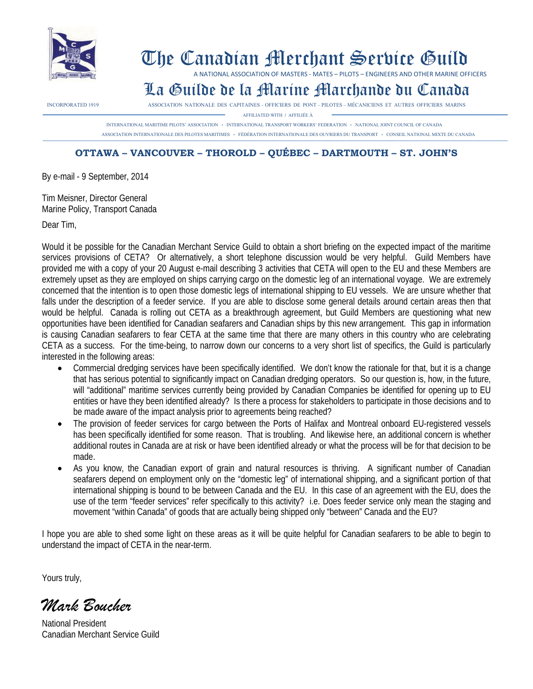

## The Canadian Merchant Service Guild

A NATIONAL ASSOCIATION OF MASTERS - MATES – PILOTS – ENGINEERS AND OTHER MARINE OFFICERS

### La Guilde de la Marine Marchande du Canada

INCORPORATED 1919 ASSOCIATION NATIONALE DES CAPITAINES – OFFICIERS DE PONT –PILOTES – MÉCANICIENS ET AUTRES OFFICIERS MARINS

AFFILIATED WITH **/** AFFILIÉE À

 INTERNATIONAL MARITIME PILOTS' ASSOCIATION **-** INTERNATIONAL TRANSPORT WORKERS'FEDERATION **-** NATIONAL JOINT COUNCIL OF CANADA ASSOCIATION INTERNATIONALE DES PILOTES MARITIMES **-** FÈDÉRATION INTERNATIONALE DES OUVRIERS DU TRANSPORT **-** CONSEIL NATIONAL MIXTE DU CANADA

#### **OTTAWA – VANCOUVER – THOROLD – QUÉBEC – DARTMOUTH – ST. JOHN'S**

By e-mail - 9 September, 2014

Tim Meisner, Director General Marine Policy, Transport Canada

Dear Tim,

Would it be possible for the Canadian Merchant Service Guild to obtain a short briefing on the expected impact of the maritime services provisions of CETA? Or alternatively, a short telephone discussion would be very helpful. Guild Members have provided me with a copy of your 20 August e-mail describing 3 activities that CETA will open to the EU and these Members are extremely upset as they are employed on ships carrying cargo on the domestic leg of an international voyage. We are extremely concerned that the intention is to open those domestic legs of international shipping to EU vessels. We are unsure whether that falls under the description of a feeder service. If you are able to disclose some general details around certain areas then that would be helpful. Canada is rolling out CETA as a breakthrough agreement, but Guild Members are questioning what new opportunities have been identified for Canadian seafarers and Canadian ships by this new arrangement. This gap in information is causing Canadian seafarers to fear CETA at the same time that there are many others in this country who are celebrating CETA as a success. For the time-being, to narrow down our concerns to a very short list of specifics, the Guild is particularly interested in the following areas:

- Commercial dredging services have been specifically identified. We don't know the rationale for that, but it is a change that has serious potential to significantly impact on Canadian dredging operators. So our question is, how, in the future, will "additional" maritime services currently being provided by Canadian Companies be identified for opening up to EU entities or have they been identified already? Is there a process for stakeholders to participate in those decisions and to be made aware of the impact analysis prior to agreements being reached?
- The provision of feeder services for cargo between the Ports of Halifax and Montreal onboard EU-registered vessels has been specifically identified for some reason. That is troubling. And likewise here, an additional concern is whether additional routes in Canada are at risk or have been identified already or what the process will be for that decision to be made.
- As you know, the Canadian export of grain and natural resources is thriving. A significant number of Canadian seafarers depend on employment only on the "domestic leg" of international shipping, and a significant portion of that international shipping is bound to be between Canada and the EU. In this case of an agreement with the EU, does the use of the term "feeder services" refer specifically to this activity? i.e. Does feeder service only mean the staging and movement "within Canada" of goods that are actually being shipped only "between" Canada and the EU?

I hope you are able to shed some light on these areas as it will be quite helpful for Canadian seafarers to be able to begin to understand the impact of CETA in the near-term.

Yours truly,

*Mark Boucher*

National President Canadian Merchant Service Guild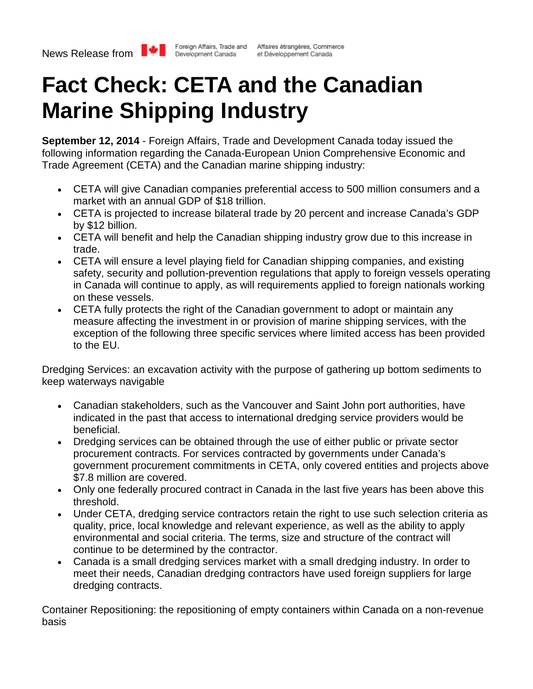

# **Fact Check: CETA and the Canadian Marine Shipping Industry**

**September 12, 2014** - Foreign Affairs, Trade and Development Canada today issued the following information regarding the Canada-European Union Comprehensive Economic and Trade Agreement (CETA) and the Canadian marine shipping industry:

- CETA will give Canadian companies preferential access to 500 million consumers and a market with an annual GDP of \$18 trillion.
- CETA is projected to increase bilateral trade by 20 percent and increase Canada's GDP by \$12 billion.
- CETA will benefit and help the Canadian shipping industry grow due to this increase in trade.
- CETA will ensure a level playing field for Canadian shipping companies, and existing safety, security and pollution-prevention regulations that apply to foreign vessels operating in Canada will continue to apply, as will requirements applied to foreign nationals working on these vessels.
- CETA fully protects the right of the Canadian government to adopt or maintain any measure affecting the investment in or provision of marine shipping services, with the exception of the following three specific services where limited access has been provided to the EU.

Dredging Services: an excavation activity with the purpose of gathering up bottom sediments to keep waterways navigable

- Canadian stakeholders, such as the Vancouver and Saint John port authorities, have indicated in the past that access to international dredging service providers would be beneficial.
- Dredging services can be obtained through the use of either public or private sector procurement contracts. For services contracted by governments under Canada's government procurement commitments in CETA, only covered entities and projects above \$7.8 million are covered.
- Only one federally procured contract in Canada in the last five years has been above this threshold.
- Under CETA, dredging service contractors retain the right to use such selection criteria as quality, price, local knowledge and relevant experience, as well as the ability to apply environmental and social criteria. The terms, size and structure of the contract will continue to be determined by the contractor.
- Canada is a small dredging services market with a small dredging industry. In order to meet their needs, Canadian dredging contractors have used foreign suppliers for large dredging contracts.

Container Repositioning: the repositioning of empty containers within Canada on a non-revenue basis